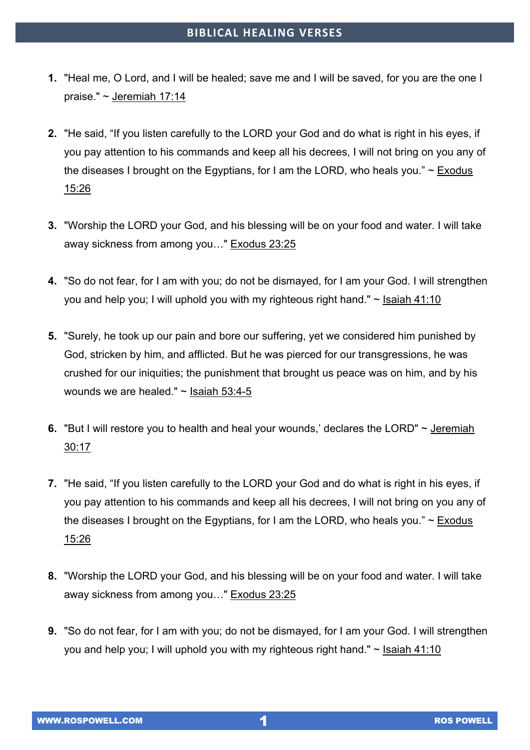- **1.** "Heal me, O Lord, and I will be healed; save me and I will be saved, for you are the one I praise." ~ Jeremiah 17:14
- **2.** "He said, "If you listen carefully to the LORD your God and do what is right in his eyes, if you pay attention to his commands and keep all his decrees, I will not bring on you any of the diseases I brought on the Egyptians, for I am the LORD, who heals you."  $\sim$  Exodus 15:26
- **3.** "Worship the LORD your God, and his blessing will be on your food and water. I will take away sickness from among you…" Exodus 23:25
- **4.** "So do not fear, for I am with you; do not be dismayed, for I am your God. I will strengthen you and help you; I will uphold you with my righteous right hand." ~ Isaiah 41:10
- **5.** "Surely, he took up our pain and bore our suffering, yet we considered him punished by God, stricken by him, and afflicted. But he was pierced for our transgressions, he was crushed for our iniquities; the punishment that brought us peace was on him, and by his wounds we are healed." ~ Isaiah 53:4-5
- **6.** "But I will restore you to health and heal your wounds,' declares the LORD" ~ Jeremiah 30:17
- **7.** "He said, "If you listen carefully to the LORD your God and do what is right in his eyes, if you pay attention to his commands and keep all his decrees, I will not bring on you any of the diseases I brought on the Egyptians, for I am the LORD, who heals you."  $\sim$  Exodus 15:26
- **8.** "Worship the LORD your God, and his blessing will be on your food and water. I will take away sickness from among you…" Exodus 23:25
- **9.** "So do not fear, for I am with you; do not be dismayed, for I am your God. I will strengthen you and help you; I will uphold you with my righteous right hand." ~ Isaiah 41:10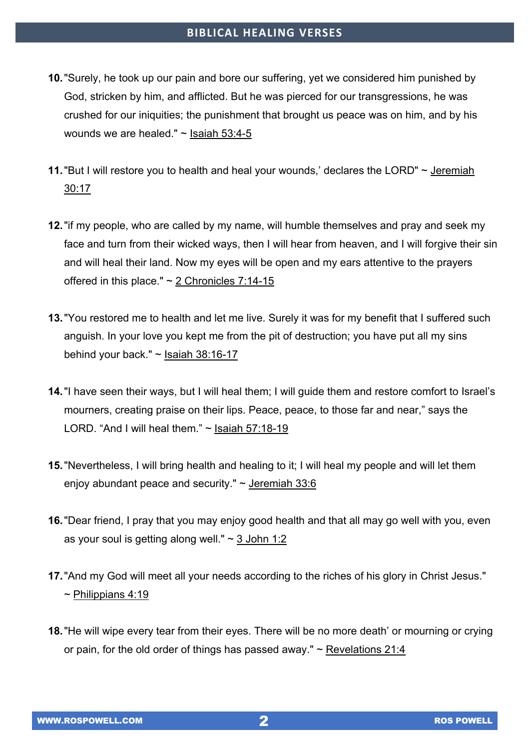- **10.**"Surely, he took up our pain and bore our suffering, yet we considered him punished by God, stricken by him, and afflicted. But he was pierced for our transgressions, he was crushed for our iniquities; the punishment that brought us peace was on him, and by his wounds we are healed." ~ Isaiah 53:4-5
- **11.**"But I will restore you to health and heal your wounds,' declares the LORD" ~ Jeremiah 30:17
- **12.**"if my people, who are called by my name, will humble themselves and pray and seek my face and turn from their wicked ways, then I will hear from heaven, and I will forgive their sin and will heal their land. Now my eyes will be open and my ears attentive to the prayers offered in this place." ~ 2 Chronicles 7:14-15
- **13.**"You restored me to health and let me live. Surely it was for my benefit that I suffered such anguish. In your love you kept me from the pit of destruction; you have put all my sins behind your back."  $\sim$  Isaiah 38:16-17
- **14.**"I have seen their ways, but I will heal them; I will guide them and restore comfort to Israel's mourners, creating praise on their lips. Peace, peace, to those far and near," says the LORD. "And I will heal them." ~ Isaiah 57:18-19
- **15.**"Nevertheless, I will bring health and healing to it; I will heal my people and will let them enjoy abundant peace and security." ~ Jeremiah 33:6
- **16.**"Dear friend, I pray that you may enjoy good health and that all may go well with you, even as your soul is getting along well."  $\sim$  3 John 1:2
- **17.**"And my God will meet all your needs according to the riches of his glory in Christ Jesus."  $\sim$  Philippians 4:19
- **18.**"He will wipe every tear from their eyes. There will be no more death' or mourning or crying or pain, for the old order of things has passed away."  $\sim$  Revelations 21:4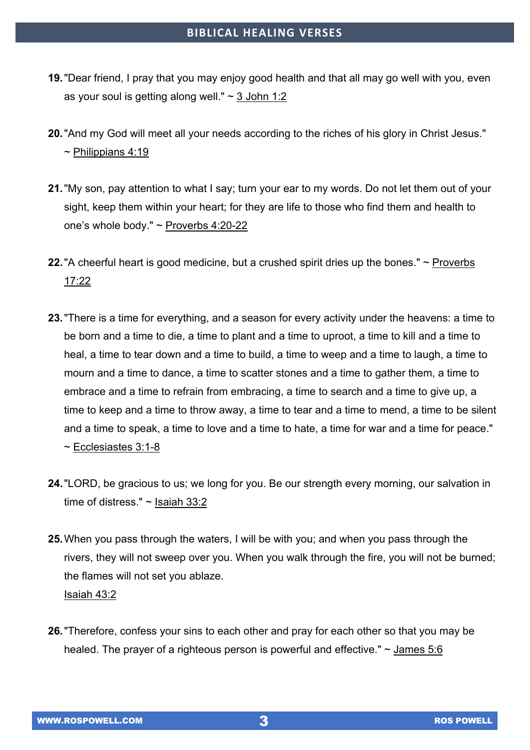- **19.**"Dear friend, I pray that you may enjoy good health and that all may go well with you, even as your soul is getting along well."  $\sim$  3 John 1:2
- **20.**"And my God will meet all your needs according to the riches of his glory in Christ Jesus."  $\sim$  Philippians 4:19
- **21.**"My son, pay attention to what I say; turn your ear to my words. Do not let them out of your sight, keep them within your heart; for they are life to those who find them and health to one's whole body."  $\sim$  Proverbs 4:20-22
- **22.**"A cheerful heart is good medicine, but a crushed spirit dries up the bones." ~ Proverbs 17:22
- **23.**"There is a time for everything, and a season for every activity under the heavens: a time to be born and a time to die, a time to plant and a time to uproot, a time to kill and a time to heal, a time to tear down and a time to build, a time to weep and a time to laugh, a time to mourn and a time to dance, a time to scatter stones and a time to gather them, a time to embrace and a time to refrain from embracing, a time to search and a time to give up, a time to keep and a time to throw away, a time to tear and a time to mend, a time to be silent and a time to speak, a time to love and a time to hate, a time for war and a time for peace." ~ Ecclesiastes 3:1-8
- **24.**"LORD, be gracious to us; we long for you. Be our strength every morning, our salvation in time of distress." ~ Isaiah 33:2
- **25.**When you pass through the waters, I will be with you; and when you pass through the rivers, they will not sweep over you. When you walk through the fire, you will not be burned; the flames will not set you ablaze. Isaiah 43:2
- **26.**"Therefore, confess your sins to each other and pray for each other so that you may be healed. The prayer of a righteous person is powerful and effective." ~ James 5:6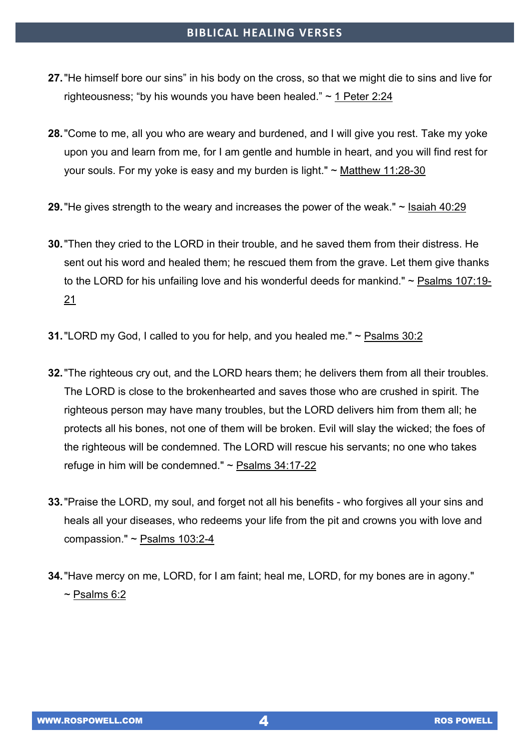- **27.**"He himself bore our sins" in his body on the cross, so that we might die to sins and live for righteousness; "by his wounds you have been healed." ~ 1 Peter 2:24
- **28.**"Come to me, all you who are weary and burdened, and I will give you rest. Take my yoke upon you and learn from me, for I am gentle and humble in heart, and you will find rest for your souls. For my yoke is easy and my burden is light." ~ Matthew 11:28-30
- **29.**"He gives strength to the weary and increases the power of the weak." ~ Isaiah 40:29
- **30.**"Then they cried to the LORD in their trouble, and he saved them from their distress. He sent out his word and healed them; he rescued them from the grave. Let them give thanks to the LORD for his unfailing love and his wonderful deeds for mankind." ~ Psalms 107:19- 21
- **31.**"LORD my God, I called to you for help, and you healed me." ~ Psalms 30:2
- **32.**"The righteous cry out, and the LORD hears them; he delivers them from all their troubles. The LORD is close to the brokenhearted and saves those who are crushed in spirit. The righteous person may have many troubles, but the LORD delivers him from them all; he protects all his bones, not one of them will be broken. Evil will slay the wicked; the foes of the righteous will be condemned. The LORD will rescue his servants; no one who takes refuge in him will be condemned." ~ Psalms 34:17-22
- **33.**"Praise the LORD, my soul, and forget not all his benefits who forgives all your sins and heals all your diseases, who redeems your life from the pit and crowns you with love and compassion." ~ Psalms 103:2-4
- **34.**"Have mercy on me, LORD, for I am faint; heal me, LORD, for my bones are in agony."  $\sim$  Psalms 6:2